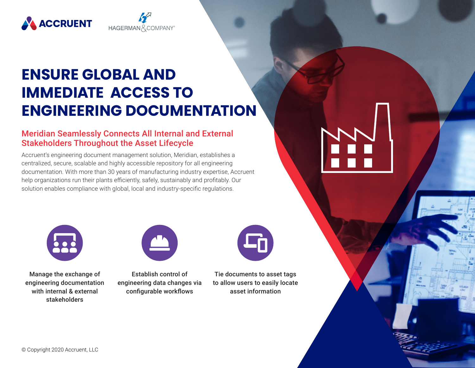



HAGERMAN & COMPANY<sup>6</sup>

### Meridian Seamlessly Connects All Internal and External Stakeholders Throughout the Asset Lifecycle

Accruent's engineering document management solution, Meridian, establishes a centralized, secure, scalable and highly accessible repository for all engineering documentation. With more than 30 years of manufacturing industry expertise, Accruent help organizations run their plants efficiently, safely, sustainably and profitably. Our solution enables compliance with global, local and industry-specific regulations.



Manage the exchange of engineering documentation with internal & external stakeholders



Establish control of engineering data changes via configurable workflows

Tie documents to asset tags to allow users to easily locate asset information